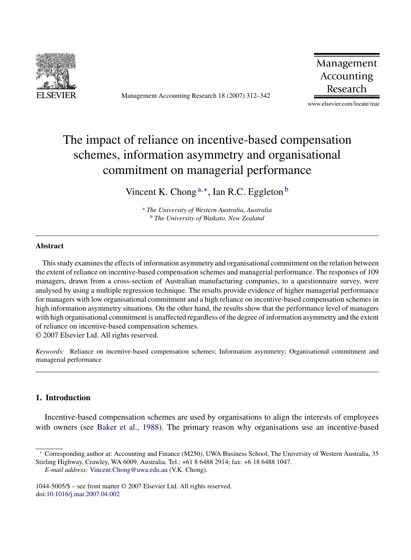

Management Accounting Research 18 (2007) 312–342

Management Accounting Research

www.elsevier.com/locate/mar

## The impact of reliance on incentive-based compensation schemes, information asymmetry and organisational commitment on managerial performance

Vincent K. Chong  $a,*$ , Ian R.C. Eggleton  $b$ 

<sup>a</sup> *The University of Western Australia, Australia* <sup>b</sup> *The University of Waikato, New Zealand*

## **Abstract**

This study examines the effects of information asymmetry and organisational commitment on the relation between the extent of reliance on incentive-based compensation schemes and managerial performance. The responses of 109 managers, drawn from a cross-section of Australian manufacturing companies, to a questionnaire survey, were analysed by using a multiple regression technique. The results provide evidence of higher managerial performance for managers with low organisational commitment and a high reliance on incentive-based compensation schemes in high information asymmetry situations. On the other hand, the results show that the performance level of managers with high organisational commitment is unaffected regardless of the degree of information asymmetry and the extent of reliance on incentive-based compensation schemes.

© 2007 Elsevier Ltd. All rights reserved.

*Keywords:* Reliance on incentive-based compensation schemes; Information asymmetry; Organisational commitment and managerial performance

## **1. Introduction**

Incentive-based compensation schemes are used by organisations to align the interests of employees with owners (see [Baker et al., 1988\).](#page--1-0) The primary reason why organisations use an incentive-based

<sup>∗</sup> Corresponding author at: Accounting and Finance (M250), UWA Business School, The University of Western Australia, 35 Stirling Highway, Crawley, WA 6009, Australia. Tel.: +61 8 6488 2914; fax: +6 18 6488 1047.

*E-mail address:* [Vincent.Chong@uwa.edu.au](mailto:Vincent.Chong@uwa.edu.au) (V.K. Chong).

<sup>1044-5005/\$ –</sup> see front matter © 2007 Elsevier Ltd. All rights reserved. doi:[10.1016/j.mar.2007.04.002](dx.doi.org/10.1016/j.mar.2007.04.002)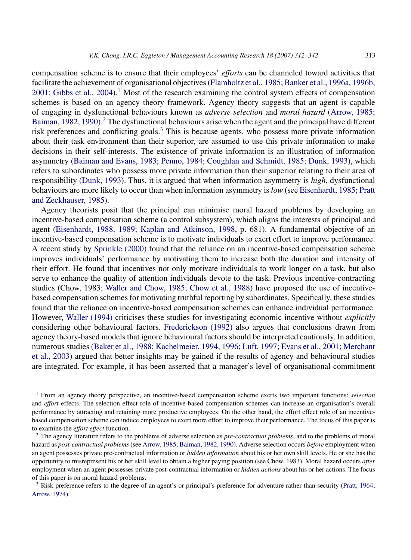compensation scheme is to ensure that their employees' *efforts* can be channeled toward activities that facilitate the achievement of organisational objectives ([Flamholtz et al., 1985; Banker et al., 1996a, 1996b,](#page--1-0)  $2001$ ; Gibbs et al.,  $2004$ ).<sup>1</sup> Most of the research examining the control system effects of compensation schemes is based on an agency theory framework. Agency theory suggests that an agent is capable of engaging in dysfunctional behaviours known as *adverse selection* and *moral hazard* ([Arrow, 1985;](#page--1-0) Baiman,  $1982$ ,  $1990$ ).<sup>2</sup> The dysfunctional behaviours arise when the agent and the principal have different risk preferences and conflicting goals.<sup>3</sup> This is because agents, who possess more private information about their task environment than their superior, are assumed to use this private information to make decisions in their self-interests. The existence of private information is an illustration of information asymmetry ([Baiman and Evans, 1983; Penno, 1984; Coughlan and Schmidt, 1985; Dunk, 1993\),](#page--1-0) which refers to subordinates who possess more private information than their superior relating to their area of responsibility ([Dunk, 1993\).](#page--1-0) Thus, it is argued that when information asymmetry is *high*, dysfunctional behaviours are more likely to occur than when information asymmetry is *low* (see [Eisenhardt, 1985; Pratt](#page--1-0) [and Zeckhauser, 1985\).](#page--1-0)

Agency theorists posit that the principal can minimise moral hazard problems by developing an incentive-based compensation scheme (a control subsystem), which aligns the interests of principal and agent ([Eisenhardt, 1988, 1989; Kaplan and Atkinson, 1998,](#page--1-0) p. 681). A fundamental objective of an incentive-based compensation scheme is to motivate individuals to exert effort to improve performance. A recent study by [Sprinkle \(2000\)](#page--1-0) found that the reliance on an incentive-based compensation scheme improves individuals' performance by motivating them to increase both the duration and intensity of their effort. He found that incentives not only motivate individuals to work longer on a task, but also serve to enhance the quality of attention individuals devote to the task. Previous incentive-contracting studies (Chow, 1983; [Waller and Chow, 1985; Chow et al., 1988\)](#page--1-0) have proposed the use of incentivebased compensation schemes for motivating truthful reporting by subordinates. Specifically, these studies found that the reliance on incentive-based compensation schemes can enhance individual performance. However, [Waller \(1994\)](#page--1-0) criticises these studies for investigating economic incentive without *explicitly* considering other behavioural factors. [Frederickson \(1992\)](#page--1-0) also argues that conclusions drawn from agency theory-based models that ignore behavioural factors should be interpreted cautiously. In addition, numerous studies [\(Baker et al., 1988; Kachelmeier, 1994, 1996; Luft, 1997; Evans et al., 2001; Merchant](#page--1-0) [et al., 2003\)](#page--1-0) argued that better insights may be gained if the results of agency and behavioural studies are integrated. For example, it has been asserted that a manager's level of organisational commitment

<sup>1</sup> From an agency theory perspective, an incentive-based compensation scheme exerts two important functions: *selection* and *effort* effects. The selection effect role of incentive-based compensation schemes can increase an organisation's overall performance by attracting and retaining more productive employees. On the other hand, the effort effect role of an incentivebased compensation scheme can induce employees to exert more effort to improve their performance. The focus of this paper is to examine the *effort effect* function.

<sup>2</sup> The agency literature refers to the problems of adverse selection as *pre-contractual problems*, and to the problems of moral hazard as *post-contractual problems*(see [Arrow, 1985; Baiman, 1982, 1990\).](#page--1-0) Adverse selection occurs *before* employment when an agent possesses private pre-contractual information or *hidden information* about his or her own skill levels. He or she has the opportunity to misrepresent his or her skill level to obtain a higher paying position (see Chow, 1983). Moral hazard occurs *after* employment when an agent possesses private post-contractual information or *hidden actions* about his or her actions. The focus of this paper is on moral hazard problems.

<sup>3</sup> Risk preference refers to the degree of an agent's or principal's preference for adventure rather than security [\(Pratt, 1964;](#page--1-0) [Arrow, 1974\).](#page--1-0)